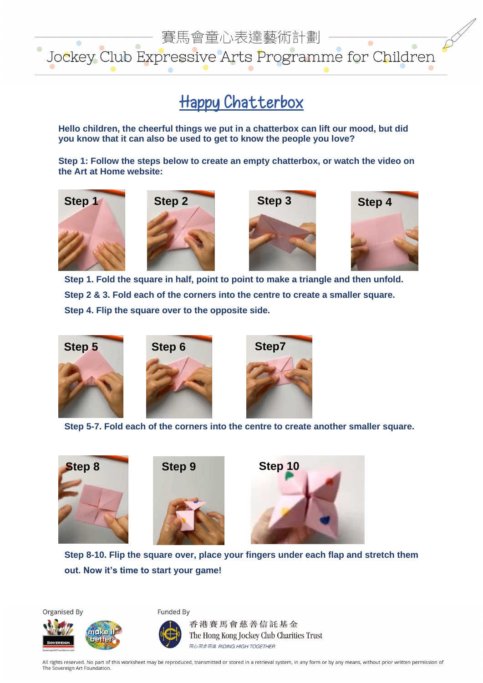

## **Happy Chatterbox**

**Hello children, the cheerful things we put in a chatterbox can lift our mood, but did you know that it can also be used to get to know the people you love?**

**Step 1: Follow the steps below to create an empty chatterbox, or watch the video on the Art at Home website:**









**Step 1. Fold the square in half, point to point to make a triangle and then unfold. Step 2 & 3. Fold each of the corners into the centre to create a smaller square. Step 4. Flip the square over to the opposite side.**







**Step 5-7. Fold each of the corners into the centre to create another smaller square.** 







**Step 8-10. Flip the square over, place your fingers under each flap and stretch them out. Now it's time to start your game!**

Organised By



Funded By



香港賽馬會慈善信託基金 The Hong Kong Jockey Club Charities Trust 同心同步同進 RIDING HIGH TOGETHER

All rights reserved. No part of this worksheet may be reproduced, transmitted or stored in a retrieval system, in any form or by any means, without prior written permission of The Sovereign Art Foundation.